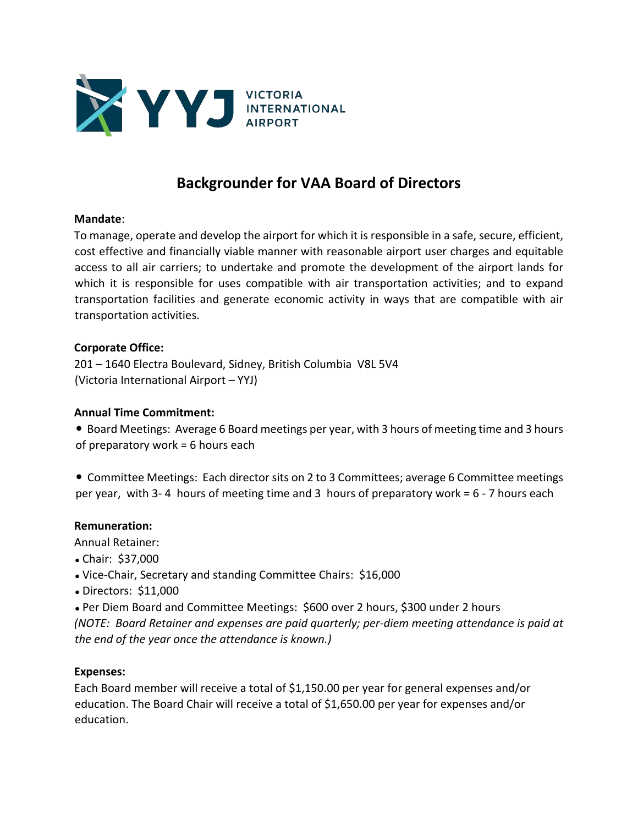

# **Backgrounder for VAA Board of Directors**

#### **Mandate**:

To manage, operate and develop the airport for which it is responsible in a safe, secure, efficient, cost effective and financially viable manner with reasonable airport user charges and equitable access to all air carriers; to undertake and promote the development of the airport lands for which it is responsible for uses compatible with air transportation activities; and to expand transportation facilities and generate economic activity in ways that are compatible with air transportation activities.

#### **Corporate Office:**

201 – 1640 Electra Boulevard, Sidney, British Columbia V8L 5V4 (Victoria International Airport – YYJ)

## **Annual Time Commitment:**

**• Board Meetings: Average 6 Board meetings per year, with 3 hours of meeting time and 3 hours** of preparatory work = 6 hours each

 Committee Meetings: Each director sits on 2 to 3 Committees; average 6 Committee meetings per year, with 3- 4 hours of meeting time and 3 hours of preparatory work = 6 - 7 hours each

#### **Remuneration:**

Annual Retainer:

- Chair: \$37,000
- Vice-Chair, Secretary and standing Committee Chairs: \$16,000
- Directors: \$11,000

 Per Diem Board and Committee Meetings: \$600 over 2 hours, \$300 under 2 hours *(NOTE: Board Retainer and expenses are paid quarterly; per-diem meeting attendance is paid at the end of the year once the attendance is known.)*

#### **Expenses:**

Each Board member will receive a total of \$1,150.00 per year for general expenses and/or education. The Board Chair will receive a total of \$1,650.00 per year for expenses and/or education.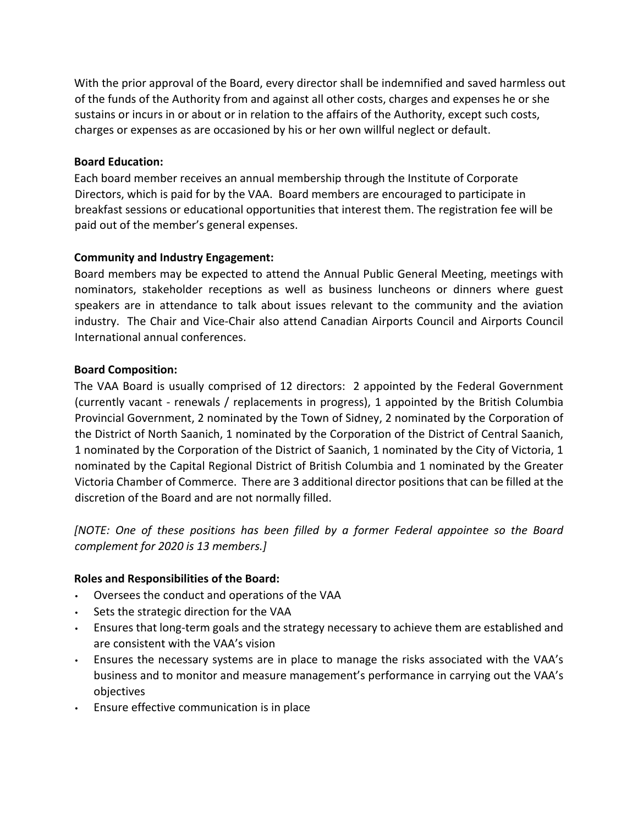With the prior approval of the Board, every director shall be indemnified and saved harmless out of the funds of the Authority from and against all other costs, charges and expenses he or she sustains or incurs in or about or in relation to the affairs of the Authority, except such costs, charges or expenses as are occasioned by his or her own willful neglect or default.

## **Board Education:**

Each board member receives an annual membership through the Institute of Corporate Directors, which is paid for by the VAA. Board members are encouraged to participate in breakfast sessions or educational opportunities that interest them. The registration fee will be paid out of the member's general expenses.

## **Community and Industry Engagement:**

Board members may be expected to attend the Annual Public General Meeting, meetings with nominators, stakeholder receptions as well as business luncheons or dinners where guest speakers are in attendance to talk about issues relevant to the community and the aviation industry. The Chair and Vice-Chair also attend Canadian Airports Council and Airports Council International annual conferences.

## **Board Composition:**

The VAA Board is usually comprised of 12 directors: 2 appointed by the Federal Government (currently vacant - renewals / replacements in progress), 1 appointed by the British Columbia Provincial Government, 2 nominated by the Town of Sidney, 2 nominated by the Corporation of the District of North Saanich, 1 nominated by the Corporation of the District of Central Saanich, 1 nominated by the Corporation of the District of Saanich, 1 nominated by the City of Victoria, 1 nominated by the Capital Regional District of British Columbia and 1 nominated by the Greater Victoria Chamber of Commerce. There are 3 additional director positions that can be filled at the discretion of the Board and are not normally filled.

*[NOTE: One of these positions has been filled by a former Federal appointee so the Board complement for 2020 is 13 members.]* 

## **Roles and Responsibilities of the Board:**

- Oversees the conduct and operations of the VAA
- Sets the strategic direction for the VAA
- Ensures that long-term goals and the strategy necessary to achieve them are established and are consistent with the VAA's vision
- Ensures the necessary systems are in place to manage the risks associated with the VAA's business and to monitor and measure management's performance in carrying out the VAA's objectives
- Ensure effective communication is in place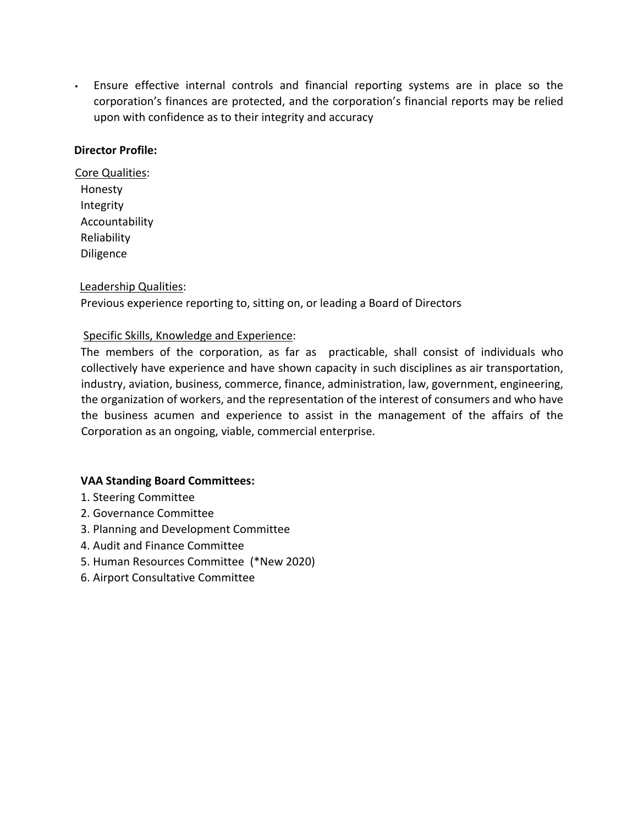• Ensure effective internal controls and financial reporting systems are in place so the corporation's finances are protected, and the corporation's financial reports may be relied upon with confidence as to their integrity and accuracy

## **Director Profile:**

Core Qualities: Honesty Integrity Accountability Reliability Diligence

## Leadership Qualities:

Previous experience reporting to, sitting on, or leading a Board of Directors

## Specific Skills, Knowledge and Experience:

The members of the corporation, as far as practicable, shall consist of individuals who collectively have experience and have shown capacity in such disciplines as air transportation, industry, aviation, business, commerce, finance, administration, law, government, engineering, the organization of workers, and the representation of the interest of consumers and who have the business acumen and experience to assist in the management of the affairs of the Corporation as an ongoing, viable, commercial enterprise.

## **VAA Standing Board Committees:**

- 1. Steering Committee
- 2. Governance Committee
- 3. Planning and Development Committee
- 4. Audit and Finance Committee
- 5. Human Resources Committee (\*New 2020)
- 6. Airport Consultative Committee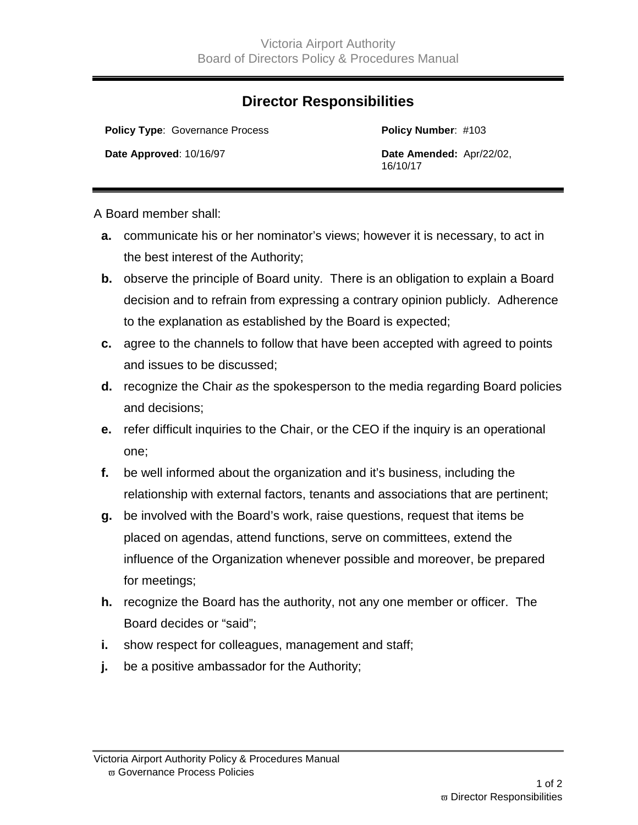## **Director Responsibilities**

**Policy Type: Governance Process <b>Policy Number:** #103

**Date Approved**: 10/16/97 **Date Amended:** Apr/22/02, 16/10/17

A Board member shall:

- **a.** communicate his or her nominator's views; however it is necessary, to act in the best interest of the Authority;
- **b.** observe the principle of Board unity. There is an obligation to explain a Board decision and to refrain from expressing a contrary opinion publicly. Adherence to the explanation as established by the Board is expected;
- **c.** agree to the channels to follow that have been accepted with agreed to points and issues to be discussed;
- **d.** recognize the Chair *as* the spokesperson to the media regarding Board policies and decisions;
- **e.** refer difficult inquiries to the Chair, or the CEO if the inquiry is an operational one;
- **f.** be well informed about the organization and it's business, including the relationship with external factors, tenants and associations that are pertinent;
- **g.** be involved with the Board's work, raise questions, request that items be placed on agendas, attend functions, serve on committees, extend the influence of the Organization whenever possible and moreover, be prepared for meetings;
- **h.** recognize the Board has the authority, not any one member or officer. The Board decides or "said";
- **i.** show respect for colleagues, management and staff;
- **j.** be a positive ambassador for the Authority;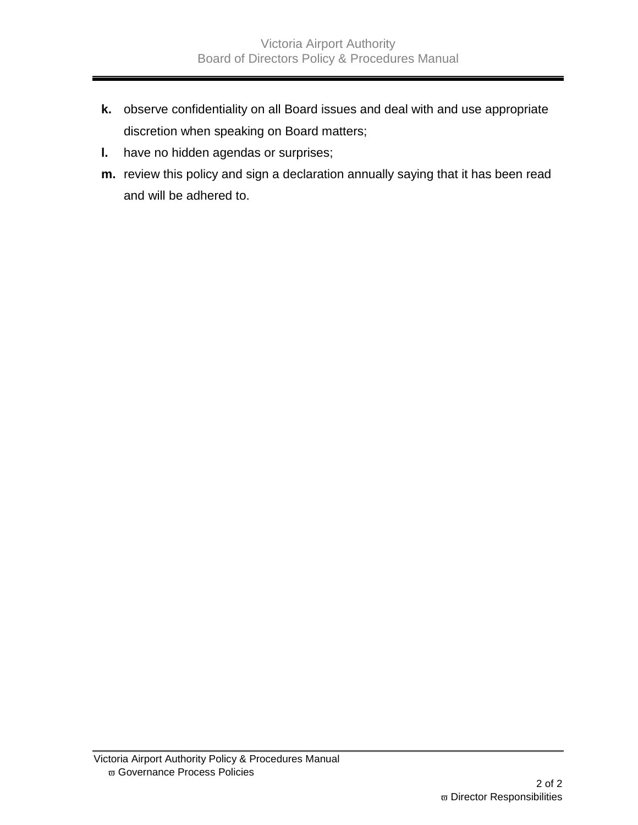- **k.** observe confidentiality on all Board issues and deal with and use appropriate discretion when speaking on Board matters;
- **l.** have no hidden agendas or surprises;
- **m.** review this policy and sign a declaration annually saying that it has been read and will be adhered to.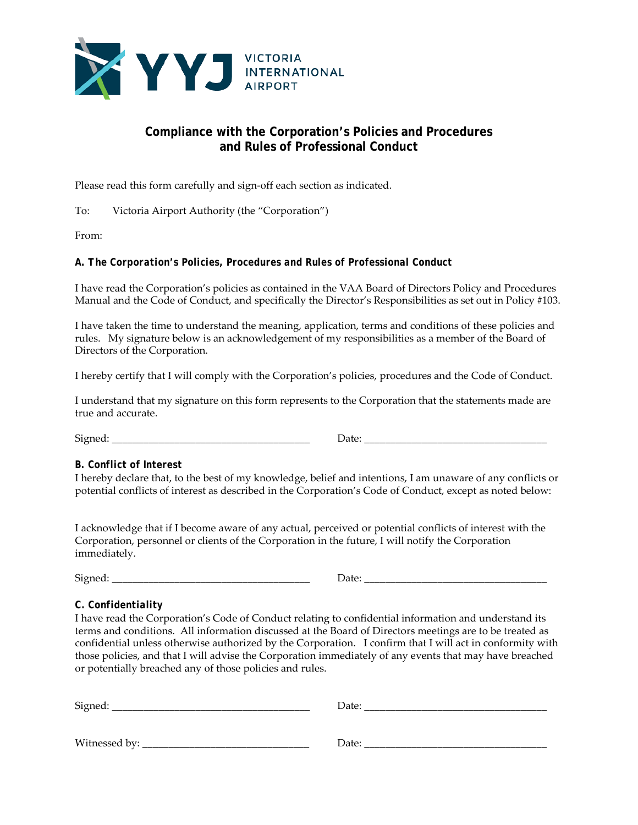

## **Compliance with the Corporation's Policies and Procedures and Rules of Professional Conduct**

Please read this form carefully and sign-off each section as indicated.

To: Victoria Airport Authority (the "Corporation")

From:

#### *A. The Corporation's Policies, Procedures and Rules of Professional Conduct*

I have read the Corporation's policies as contained in the VAA Board of Directors Policy and Procedures Manual and the Code of Conduct, and specifically the Director's Responsibilities as set out in Policy #103.

I have taken the time to understand the meaning, application, terms and conditions of these policies and rules. My signature below is an acknowledgement of my responsibilities as a member of the Board of Directors of the Corporation.

I hereby certify that I will comply with the Corporation's policies, procedures and the Code of Conduct.

I understand that my signature on this form represents to the Corporation that the statements made are true and accurate.

Signed: \_\_\_\_\_\_\_\_\_\_\_\_\_\_\_\_\_\_\_\_\_\_\_\_\_\_\_\_\_\_\_\_\_\_\_\_\_\_ Date: \_\_\_\_\_\_\_\_\_\_\_\_\_\_\_\_\_\_\_\_\_\_\_\_\_\_\_\_\_\_\_\_\_\_\_

#### *B. Conflict of Interest*

I hereby declare that, to the best of my knowledge, belief and intentions, I am unaware of any conflicts or potential conflicts of interest as described in the Corporation's Code of Conduct, except as noted below:

I acknowledge that if I become aware of any actual, perceived or potential conflicts of interest with the Corporation, personnel or clients of the Corporation in the future, I will notify the Corporation immediately.

Signed: \_\_\_\_\_\_\_\_\_\_\_\_\_\_\_\_\_\_\_\_\_\_\_\_\_\_\_\_\_\_\_\_\_\_\_\_\_\_ Date: \_\_\_\_\_\_\_\_\_\_\_\_\_\_\_\_\_\_\_\_\_\_\_\_\_\_\_\_\_\_\_\_\_\_\_

## *C. Confidentiality*

I have read the Corporation's Code of Conduct relating to confidential information and understand its terms and conditions. All information discussed at the Board of Directors meetings are to be treated as confidential unless otherwise authorized by the Corporation. I confirm that I will act in conformity with those policies, and that I will advise the Corporation immediately of any events that may have breached or potentially breached any of those policies and rules.

| Signed:       | Date: |
|---------------|-------|
|               |       |
| Witnessed by: | Date: |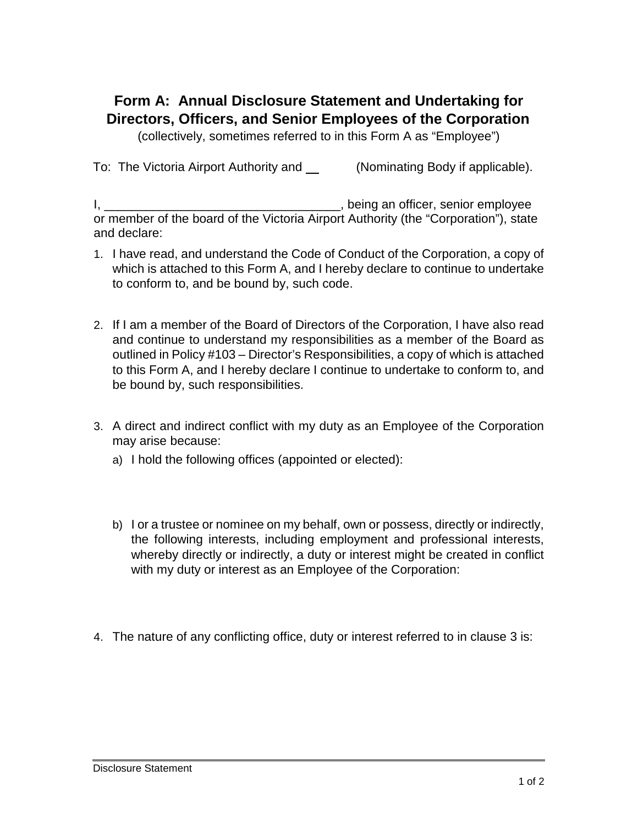# **Form A: Annual Disclosure Statement and Undertaking for Directors, Officers, and Senior Employees of the Corporation**

(collectively, sometimes referred to in this Form A as "Employee")

To: The Victoria Airport Authority and (Nominating Body if applicable).

I, \_\_\_\_\_\_\_\_\_\_\_\_\_\_\_\_\_\_\_\_\_\_\_\_\_\_\_\_\_\_\_\_\_\_, being an officer, senior employee or member of the board of the Victoria Airport Authority (the "Corporation"), state and declare:

- 1. I have read, and understand the Code of Conduct of the Corporation, a copy of which is attached to this Form A, and I hereby declare to continue to undertake to conform to, and be bound by, such code.
- 2. If I am a member of the Board of Directors of the Corporation, I have also read and continue to understand my responsibilities as a member of the Board as outlined in Policy #103 – Director's Responsibilities, a copy of which is attached to this Form A, and I hereby declare I continue to undertake to conform to, and be bound by, such responsibilities.
- 3. A direct and indirect conflict with my duty as an Employee of the Corporation may arise because:
	- a) I hold the following offices (appointed or elected):
	- b) I or a trustee or nominee on my behalf, own or possess, directly or indirectly, the following interests, including employment and professional interests, whereby directly or indirectly, a duty or interest might be created in conflict with my duty or interest as an Employee of the Corporation:
- 4. The nature of any conflicting office, duty or interest referred to in clause 3 is: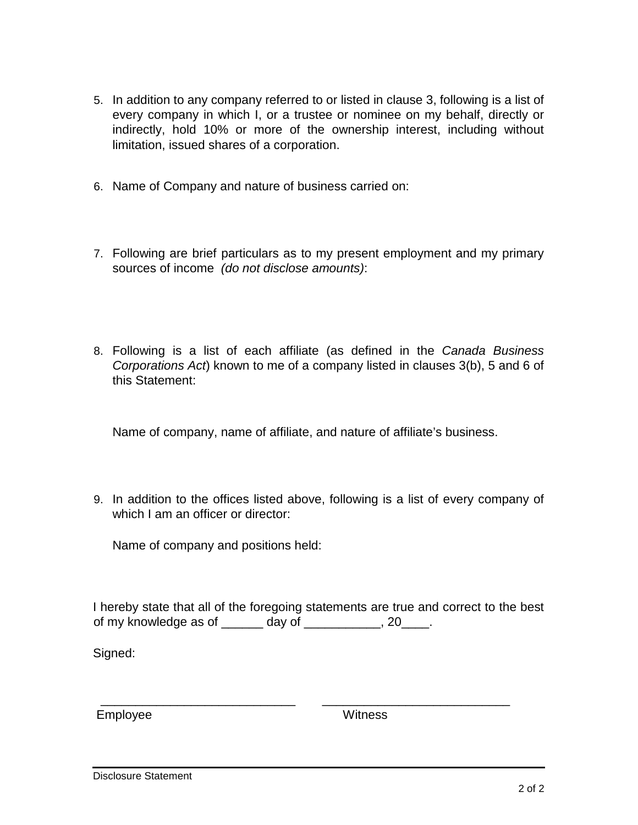- 5. In addition to any company referred to or listed in clause 3, following is a list of every company in which I, or a trustee or nominee on my behalf, directly or indirectly, hold 10% or more of the ownership interest, including without limitation, issued shares of a corporation.
- 6. Name of Company and nature of business carried on:
- 7. Following are brief particulars as to my present employment and my primary sources of income *(do not disclose amounts)*:
- 8. Following is a list of each affiliate (as defined in the *Canada Business Corporations Act*) known to me of a company listed in clauses 3(b), 5 and 6 of this Statement:

Name of company, name of affiliate, and nature of affiliate's business.

9. In addition to the offices listed above, following is a list of every company of which I am an officer or director:

Name of company and positions held:

I hereby state that all of the foregoing statements are true and correct to the best of my knowledge as of  $\frac{1}{2}$  day of  $\frac{1}{2}$   $\frac{1}{2}$ , 20  $\frac{1}{2}$ .

\_\_\_\_\_\_\_\_\_\_\_\_\_\_\_\_\_\_\_\_\_\_\_\_\_\_\_\_ \_\_\_\_\_\_\_\_\_\_\_\_\_\_\_\_\_\_\_\_\_\_\_\_\_\_\_

Signed:

Employee Witness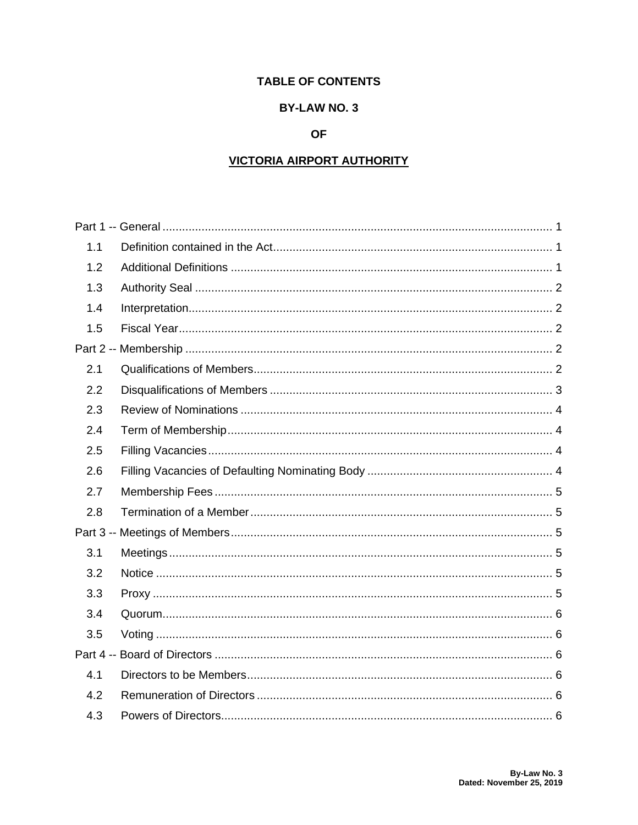## **TABLE OF CONTENTS**

## **BY-LAW NO. 3**

## **OF**

## **VICTORIA AIRPORT AUTHORITY**

| 1.1 |  |
|-----|--|
| 1.2 |  |
| 1.3 |  |
| 1.4 |  |
| 1.5 |  |
|     |  |
| 2.1 |  |
| 2.2 |  |
| 2.3 |  |
| 2.4 |  |
| 2.5 |  |
| 2.6 |  |
| 2.7 |  |
| 2.8 |  |
|     |  |
| 3.1 |  |
| 3.2 |  |
| 3.3 |  |
| 3.4 |  |
| 3.5 |  |
|     |  |
| 4.1 |  |
| 4.2 |  |
| 4.3 |  |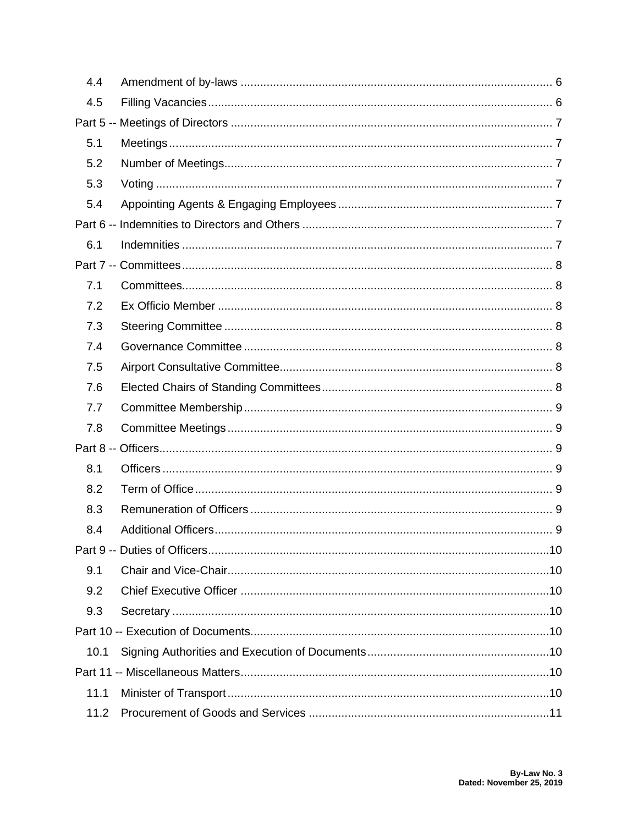| 4.4  |  |
|------|--|
| 4.5  |  |
|      |  |
| 5.1  |  |
| 5.2  |  |
| 5.3  |  |
| 5.4  |  |
|      |  |
| 6.1  |  |
|      |  |
| 7.1  |  |
| 7.2  |  |
| 7.3  |  |
| 7.4  |  |
| 7.5  |  |
| 7.6  |  |
| 7.7  |  |
| 7.8  |  |
|      |  |
| 8.1  |  |
| 8.2  |  |
| 8.3  |  |
| 8.4  |  |
|      |  |
| 9.1  |  |
| 9.2  |  |
| 9.3  |  |
|      |  |
| 10.1 |  |
|      |  |
| 11.1 |  |
| 11.2 |  |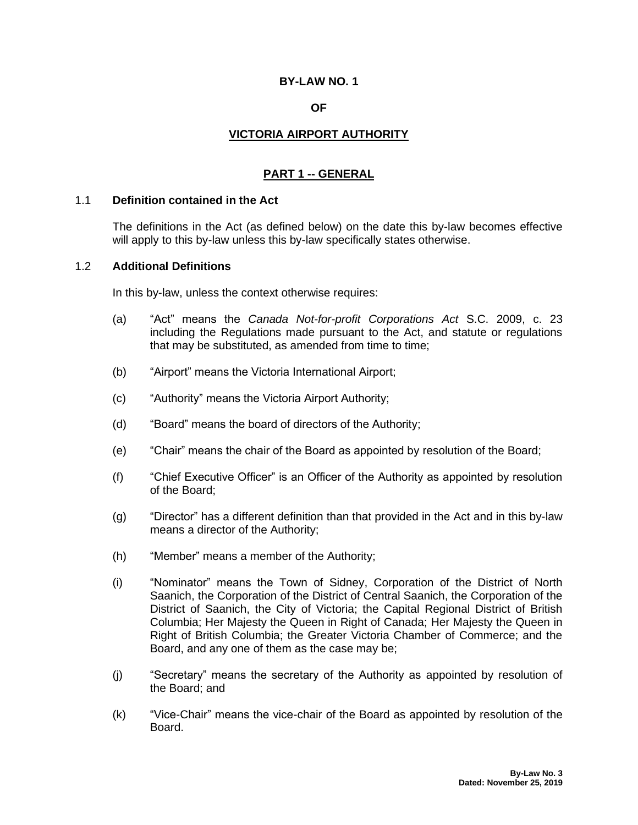## **BY-LAW NO. 1**

#### **OF**

## **VICTORIA AIRPORT AUTHORITY**

## **PART 1 -- GENERAL**

#### <span id="page-11-1"></span><span id="page-11-0"></span>1.1 **Definition contained in the Act**

The definitions in the Act (as defined below) on the date this by-law becomes effective will apply to this by-law unless this by-law specifically states otherwise.

#### <span id="page-11-2"></span>1.2 **Additional Definitions**

In this by-law, unless the context otherwise requires:

- (a) "Act" means the *Canada Not-for-profit Corporations Act* S.C. 2009, c. 23 including the Regulations made pursuant to the Act, and statute or regulations that may be substituted, as amended from time to time;
- (b) "Airport" means the Victoria International Airport;
- (c) "Authority" means the Victoria Airport Authority;
- (d) "Board" means the board of directors of the Authority;
- (e) "Chair" means the chair of the Board as appointed by resolution of the Board;
- (f) "Chief Executive Officer" is an Officer of the Authority as appointed by resolution of the Board;
- (g) "Director" has a different definition than that provided in the Act and in this by-law means a director of the Authority;
- (h) "Member" means a member of the Authority;
- (i) "Nominator" means the Town of Sidney, Corporation of the District of North Saanich, the Corporation of the District of Central Saanich, the Corporation of the District of Saanich, the City of Victoria; the Capital Regional District of British Columbia; Her Majesty the Queen in Right of Canada; Her Majesty the Queen in Right of British Columbia; the Greater Victoria Chamber of Commerce; and the Board, and any one of them as the case may be;
- (j) "Secretary" means the secretary of the Authority as appointed by resolution of the Board; and
- (k) "Vice-Chair" means the vice-chair of the Board as appointed by resolution of the Board.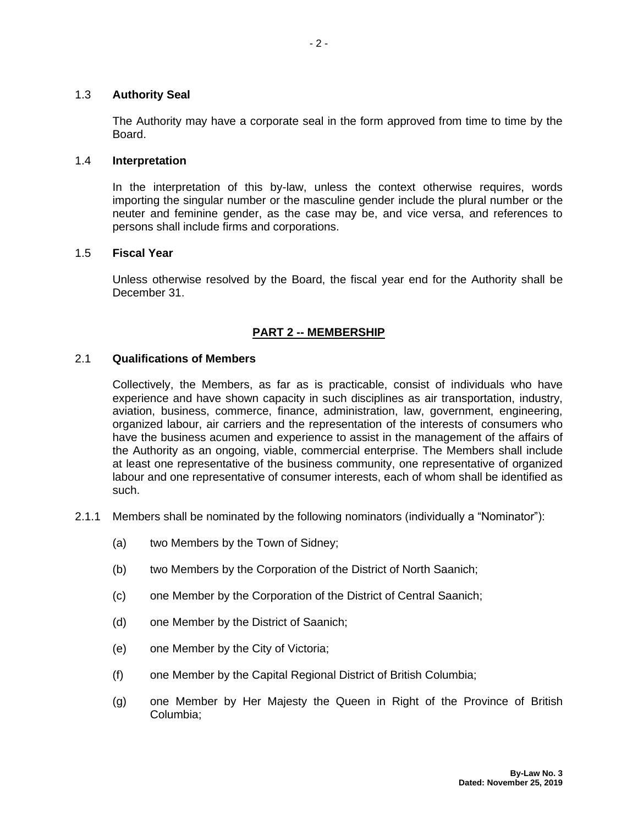#### <span id="page-12-0"></span>1.3 **Authority Seal**

The Authority may have a corporate seal in the form approved from time to time by the Board.

#### <span id="page-12-1"></span>1.4 **Interpretation**

In the interpretation of this by-law, unless the context otherwise requires, words importing the singular number or the masculine gender include the plural number or the neuter and feminine gender, as the case may be, and vice versa, and references to persons shall include firms and corporations.

## <span id="page-12-2"></span>1.5 **Fiscal Year**

Unless otherwise resolved by the Board, the fiscal year end for the Authority shall be December 31.

## **PART 2 -- MEMBERSHIP**

#### <span id="page-12-4"></span><span id="page-12-3"></span>2.1 **Qualifications of Members**

Collectively, the Members, as far as is practicable, consist of individuals who have experience and have shown capacity in such disciplines as air transportation, industry, aviation, business, commerce, finance, administration, law, government, engineering, organized labour, air carriers and the representation of the interests of consumers who have the business acumen and experience to assist in the management of the affairs of the Authority as an ongoing, viable, commercial enterprise. The Members shall include at least one representative of the business community, one representative of organized labour and one representative of consumer interests, each of whom shall be identified as such.

- 2.1.1 Members shall be nominated by the following nominators (individually a "Nominator"):
	- (a) two Members by the Town of Sidney;
	- (b) two Members by the Corporation of the District of North Saanich;
	- (c) one Member by the Corporation of the District of Central Saanich;
	- (d) one Member by the District of Saanich;
	- (e) one Member by the City of Victoria;
	- (f) one Member by the Capital Regional District of British Columbia;
	- (g) one Member by Her Majesty the Queen in Right of the Province of British Columbia;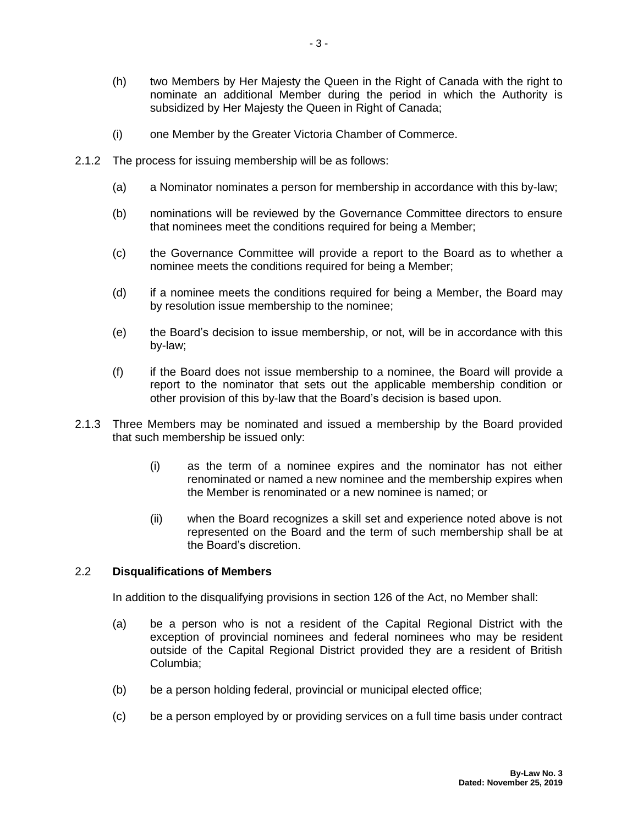- (h) two Members by Her Majesty the Queen in the Right of Canada with the right to nominate an additional Member during the period in which the Authority is subsidized by Her Majesty the Queen in Right of Canada;
- (i) one Member by the Greater Victoria Chamber of Commerce.
- 2.1.2 The process for issuing membership will be as follows:
	- (a) a Nominator nominates a person for membership in accordance with this by-law;
	- (b) nominations will be reviewed by the Governance Committee directors to ensure that nominees meet the conditions required for being a Member;
	- (c) the Governance Committee will provide a report to the Board as to whether a nominee meets the conditions required for being a Member;
	- (d) if a nominee meets the conditions required for being a Member, the Board may by resolution issue membership to the nominee;
	- (e) the Board's decision to issue membership, or not, will be in accordance with this by-law;
	- (f) if the Board does not issue membership to a nominee, the Board will provide a report to the nominator that sets out the applicable membership condition or other provision of this by-law that the Board's decision is based upon.
- 2.1.3 Three Members may be nominated and issued a membership by the Board provided that such membership be issued only:
	- (i) as the term of a nominee expires and the nominator has not either renominated or named a new nominee and the membership expires when the Member is renominated or a new nominee is named; or
	- (ii) when the Board recognizes a skill set and experience noted above is not represented on the Board and the term of such membership shall be at the Board's discretion.

#### <span id="page-13-0"></span>2.2 **Disqualifications of Members**

In addition to the disqualifying provisions in section 126 of the Act, no Member shall:

- (a) be a person who is not a resident of the Capital Regional District with the exception of provincial nominees and federal nominees who may be resident outside of the Capital Regional District provided they are a resident of British Columbia;
- (b) be a person holding federal, provincial or municipal elected office;
- (c) be a person employed by or providing services on a full time basis under contract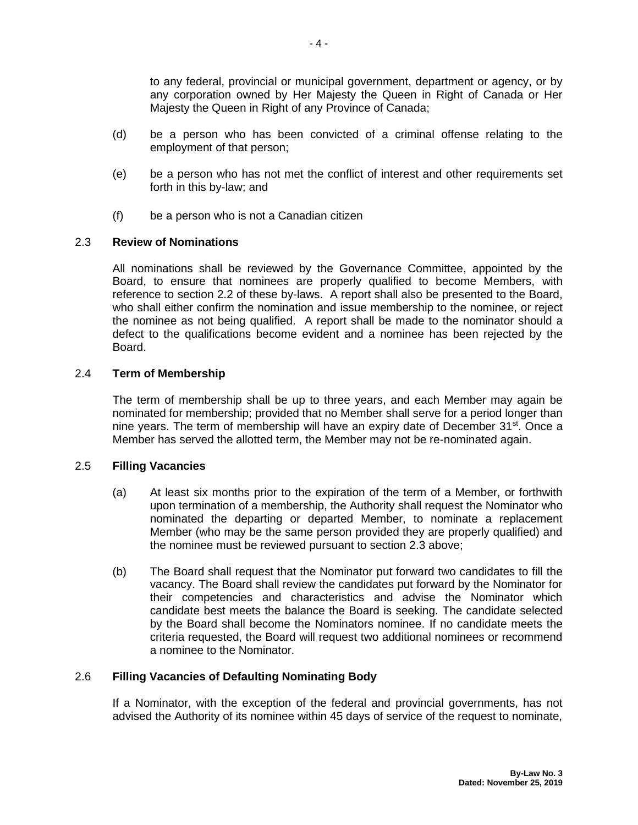to any federal, provincial or municipal government, department or agency, or by any corporation owned by Her Majesty the Queen in Right of Canada or Her Majesty the Queen in Right of any Province of Canada;

- (d) be a person who has been convicted of a criminal offense relating to the employment of that person;
- (e) be a person who has not met the conflict of interest and other requirements set forth in this by-law; and
- (f) be a person who is not a Canadian citizen

## <span id="page-14-0"></span>2.3 **Review of Nominations**

All nominations shall be reviewed by the Governance Committee, appointed by the Board, to ensure that nominees are properly qualified to become Members, with reference to section 2.2 of these by-laws. A report shall also be presented to the Board, who shall either confirm the nomination and issue membership to the nominee, or reject the nominee as not being qualified. A report shall be made to the nominator should a defect to the qualifications become evident and a nominee has been rejected by the Board.

#### <span id="page-14-1"></span>2.4 **Term of Membership**

The term of membership shall be up to three years, and each Member may again be nominated for membership; provided that no Member shall serve for a period longer than nine years. The term of membership will have an expiry date of December 31<sup>st</sup>. Once a Member has served the allotted term, the Member may not be re-nominated again.

#### <span id="page-14-2"></span>2.5 **Filling Vacancies**

- (a) At least six months prior to the expiration of the term of a Member, or forthwith upon termination of a membership, the Authority shall request the Nominator who nominated the departing or departed Member, to nominate a replacement Member (who may be the same person provided they are properly qualified) and the nominee must be reviewed pursuant to section 2.3 above;
- (b) The Board shall request that the Nominator put forward two candidates to fill the vacancy. The Board shall review the candidates put forward by the Nominator for their competencies and characteristics and advise the Nominator which candidate best meets the balance the Board is seeking. The candidate selected by the Board shall become the Nominators nominee. If no candidate meets the criteria requested, the Board will request two additional nominees or recommend a nominee to the Nominator.

#### <span id="page-14-3"></span>2.6 **Filling Vacancies of Defaulting Nominating Body**

If a Nominator, with the exception of the federal and provincial governments, has not advised the Authority of its nominee within 45 days of service of the request to nominate,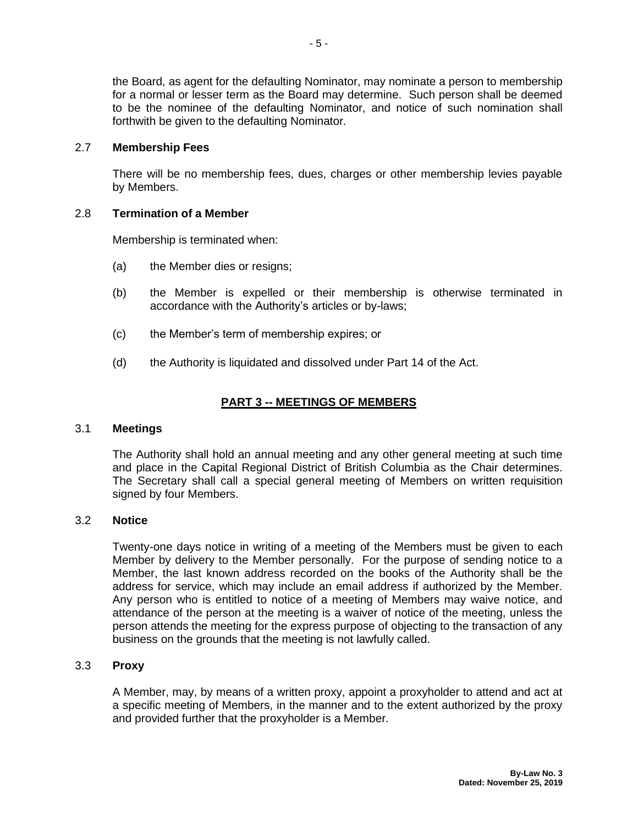the Board, as agent for the defaulting Nominator, may nominate a person to membership for a normal or lesser term as the Board may determine. Such person shall be deemed to be the nominee of the defaulting Nominator, and notice of such nomination shall forthwith be given to the defaulting Nominator.

#### <span id="page-15-0"></span>2.7 **Membership Fees**

There will be no membership fees, dues, charges or other membership levies payable by Members.

## <span id="page-15-1"></span>2.8 **Termination of a Member**

Membership is terminated when:

- (a) the Member dies or resigns;
- (b) the Member is expelled or their membership is otherwise terminated in accordance with the Authority's articles or by-laws;
- (c) the Member's term of membership expires; or
- (d) the Authority is liquidated and dissolved under Part 14 of the Act.

## **PART 3 -- MEETINGS OF MEMBERS**

#### <span id="page-15-3"></span><span id="page-15-2"></span>3.1 **Meetings**

The Authority shall hold an annual meeting and any other general meeting at such time and place in the Capital Regional District of British Columbia as the Chair determines. The Secretary shall call a special general meeting of Members on written requisition signed by four Members.

#### <span id="page-15-4"></span>3.2 **Notice**

Twenty-one days notice in writing of a meeting of the Members must be given to each Member by delivery to the Member personally. For the purpose of sending notice to a Member, the last known address recorded on the books of the Authority shall be the address for service, which may include an email address if authorized by the Member. Any person who is entitled to notice of a meeting of Members may waive notice, and attendance of the person at the meeting is a waiver of notice of the meeting, unless the person attends the meeting for the express purpose of objecting to the transaction of any business on the grounds that the meeting is not lawfully called.

#### <span id="page-15-5"></span>3.3 **Proxy**

A Member, may, by means of a written proxy, appoint a proxyholder to attend and act at a specific meeting of Members, in the manner and to the extent authorized by the proxy and provided further that the proxyholder is a Member.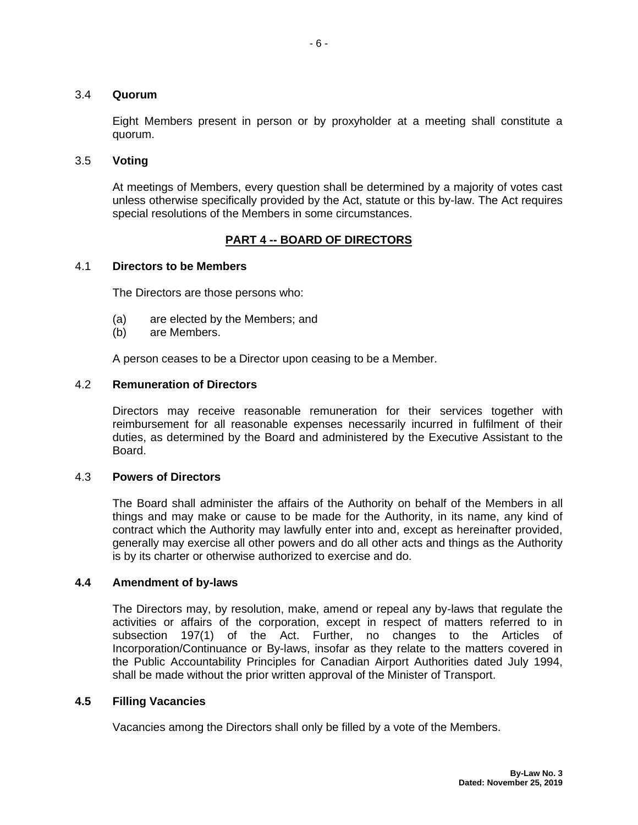#### <span id="page-16-0"></span>3.4 **Quorum**

Eight Members present in person or by proxyholder at a meeting shall constitute a quorum.

#### <span id="page-16-1"></span>3.5 **Voting**

At meetings of Members, every question shall be determined by a majority of votes cast unless otherwise specifically provided by the Act, statute or this by-law. The Act requires special resolutions of the Members in some circumstances.

## **PART 4 -- BOARD OF DIRECTORS**

#### <span id="page-16-3"></span><span id="page-16-2"></span>4.1 **Directors to be Members**

The Directors are those persons who:

- (a) are elected by the Members; and
- (b) are Members.

A person ceases to be a Director upon ceasing to be a Member.

#### <span id="page-16-4"></span>4.2 **Remuneration of Directors**

Directors may receive reasonable remuneration for their services together with reimbursement for all reasonable expenses necessarily incurred in fulfilment of their duties, as determined by the Board and administered by the Executive Assistant to the Board.

#### <span id="page-16-5"></span>4.3 **Powers of Directors**

The Board shall administer the affairs of the Authority on behalf of the Members in all things and may make or cause to be made for the Authority, in its name, any kind of contract which the Authority may lawfully enter into and, except as hereinafter provided, generally may exercise all other powers and do all other acts and things as the Authority is by its charter or otherwise authorized to exercise and do.

#### <span id="page-16-6"></span>**4.4 Amendment of by-laws**

The Directors may, by resolution, make, amend or repeal any by-laws that regulate the activities or affairs of the corporation, except in respect of matters referred to in subsection 197(1) of the Act. Further, no changes to the Articles of Incorporation/Continuance or By-laws, insofar as they relate to the matters covered in the Public Accountability Principles for Canadian Airport Authorities dated July 1994, shall be made without the prior written approval of the Minister of Transport.

#### <span id="page-16-7"></span>**4.5 Filling Vacancies**

Vacancies among the Directors shall only be filled by a vote of the Members.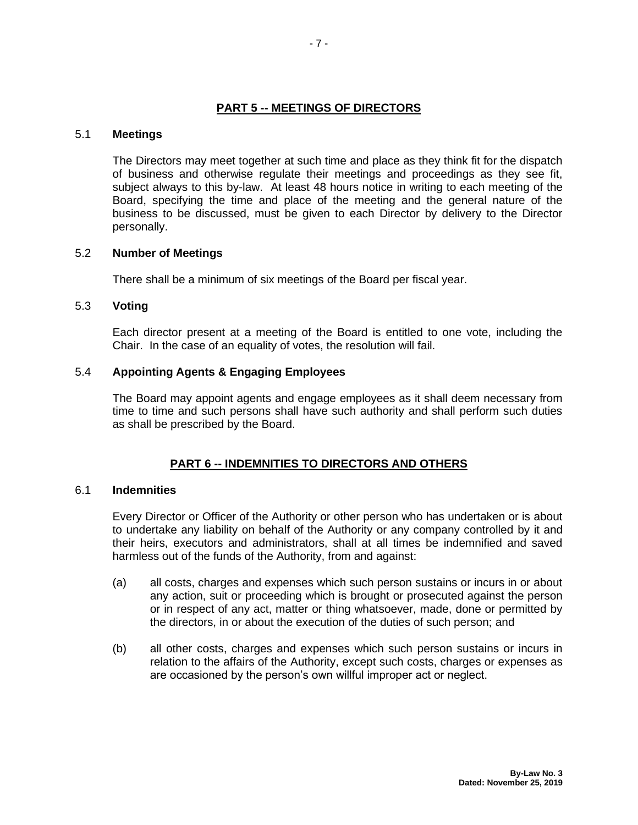#### **PART 5 -- MEETINGS OF DIRECTORS**

#### <span id="page-17-1"></span><span id="page-17-0"></span>5.1 **Meetings**

The Directors may meet together at such time and place as they think fit for the dispatch of business and otherwise regulate their meetings and proceedings as they see fit, subject always to this by-law. At least 48 hours notice in writing to each meeting of the Board, specifying the time and place of the meeting and the general nature of the business to be discussed, must be given to each Director by delivery to the Director personally.

#### <span id="page-17-2"></span>5.2 **Number of Meetings**

There shall be a minimum of six meetings of the Board per fiscal year.

#### <span id="page-17-3"></span>5.3 **Voting**

Each director present at a meeting of the Board is entitled to one vote, including the Chair. In the case of an equality of votes, the resolution will fail.

#### <span id="page-17-4"></span>5.4 **Appointing Agents & Engaging Employees**

The Board may appoint agents and engage employees as it shall deem necessary from time to time and such persons shall have such authority and shall perform such duties as shall be prescribed by the Board.

#### **PART 6 -- INDEMNITIES TO DIRECTORS AND OTHERS**

#### <span id="page-17-6"></span><span id="page-17-5"></span>6.1 **Indemnities**

Every Director or Officer of the Authority or other person who has undertaken or is about to undertake any liability on behalf of the Authority or any company controlled by it and their heirs, executors and administrators, shall at all times be indemnified and saved harmless out of the funds of the Authority, from and against:

- (a) all costs, charges and expenses which such person sustains or incurs in or about any action, suit or proceeding which is brought or prosecuted against the person or in respect of any act, matter or thing whatsoever, made, done or permitted by the directors, in or about the execution of the duties of such person; and
- (b) all other costs, charges and expenses which such person sustains or incurs in relation to the affairs of the Authority, except such costs, charges or expenses as are occasioned by the person's own willful improper act or neglect.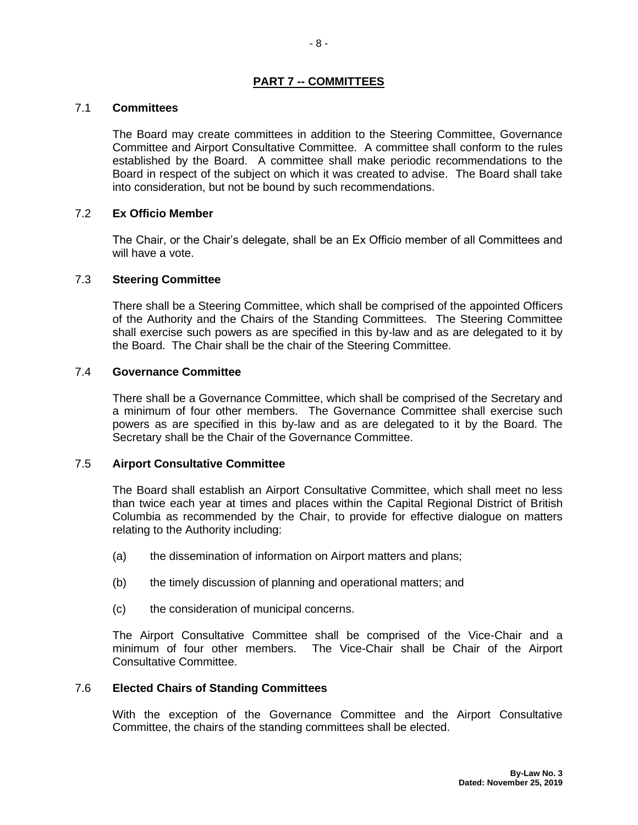## **PART 7 -- COMMITTEES**

#### <span id="page-18-1"></span><span id="page-18-0"></span>7.1 **Committees**

The Board may create committees in addition to the Steering Committee, Governance Committee and Airport Consultative Committee. A committee shall conform to the rules established by the Board. A committee shall make periodic recommendations to the Board in respect of the subject on which it was created to advise. The Board shall take into consideration, but not be bound by such recommendations.

#### <span id="page-18-2"></span>7.2 **Ex Officio Member**

The Chair, or the Chair's delegate, shall be an Ex Officio member of all Committees and will have a vote.

#### <span id="page-18-3"></span>7.3 **Steering Committee**

There shall be a Steering Committee, which shall be comprised of the appointed Officers of the Authority and the Chairs of the Standing Committees. The Steering Committee shall exercise such powers as are specified in this by-law and as are delegated to it by the Board. The Chair shall be the chair of the Steering Committee.

#### <span id="page-18-4"></span>7.4 **Governance Committee**

There shall be a Governance Committee, which shall be comprised of the Secretary and a minimum of four other members. The Governance Committee shall exercise such powers as are specified in this by-law and as are delegated to it by the Board. The Secretary shall be the Chair of the Governance Committee.

#### <span id="page-18-5"></span>7.5 **Airport Consultative Committee**

The Board shall establish an Airport Consultative Committee, which shall meet no less than twice each year at times and places within the Capital Regional District of British Columbia as recommended by the Chair, to provide for effective dialogue on matters relating to the Authority including:

- (a) the dissemination of information on Airport matters and plans;
- (b) the timely discussion of planning and operational matters; and
- (c) the consideration of municipal concerns.

The Airport Consultative Committee shall be comprised of the Vice-Chair and a minimum of four other members. The Vice-Chair shall be Chair of the Airport Consultative Committee.

#### <span id="page-18-6"></span>7.6 **Elected Chairs of Standing Committees**

With the exception of the Governance Committee and the Airport Consultative Committee, the chairs of the standing committees shall be elected.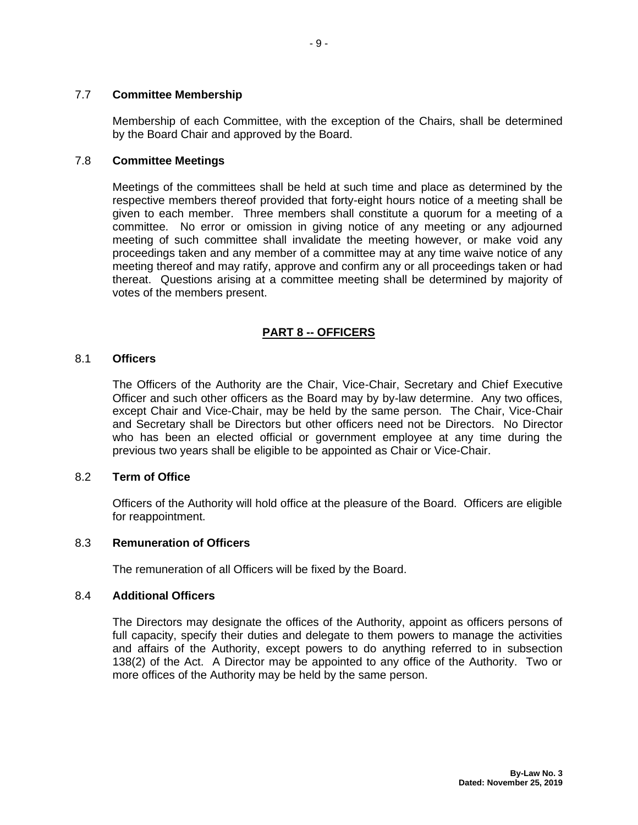#### <span id="page-19-0"></span>7.7 **Committee Membership**

Membership of each Committee, with the exception of the Chairs, shall be determined by the Board Chair and approved by the Board.

## <span id="page-19-1"></span>7.8 **Committee Meetings**

Meetings of the committees shall be held at such time and place as determined by the respective members thereof provided that forty-eight hours notice of a meeting shall be given to each member. Three members shall constitute a quorum for a meeting of a committee. No error or omission in giving notice of any meeting or any adjourned meeting of such committee shall invalidate the meeting however, or make void any proceedings taken and any member of a committee may at any time waive notice of any meeting thereof and may ratify, approve and confirm any or all proceedings taken or had thereat. Questions arising at a committee meeting shall be determined by majority of votes of the members present.

## **PART 8 -- OFFICERS**

#### <span id="page-19-3"></span><span id="page-19-2"></span>8.1 **Officers**

The Officers of the Authority are the Chair, Vice-Chair, Secretary and Chief Executive Officer and such other officers as the Board may by by-law determine. Any two offices, except Chair and Vice-Chair, may be held by the same person. The Chair, Vice-Chair and Secretary shall be Directors but other officers need not be Directors. No Director who has been an elected official or government employee at any time during the previous two years shall be eligible to be appointed as Chair or Vice-Chair.

#### <span id="page-19-4"></span>8.2 **Term of Office**

Officers of the Authority will hold office at the pleasure of the Board. Officers are eligible for reappointment.

#### <span id="page-19-5"></span>8.3 **Remuneration of Officers**

The remuneration of all Officers will be fixed by the Board.

#### <span id="page-19-6"></span>8.4 **Additional Officers**

The Directors may designate the offices of the Authority, appoint as officers persons of full capacity, specify their duties and delegate to them powers to manage the activities and affairs of the Authority, except powers to do anything referred to in subsection 138(2) of the Act. A Director may be appointed to any office of the Authority. Two or more offices of the Authority may be held by the same person.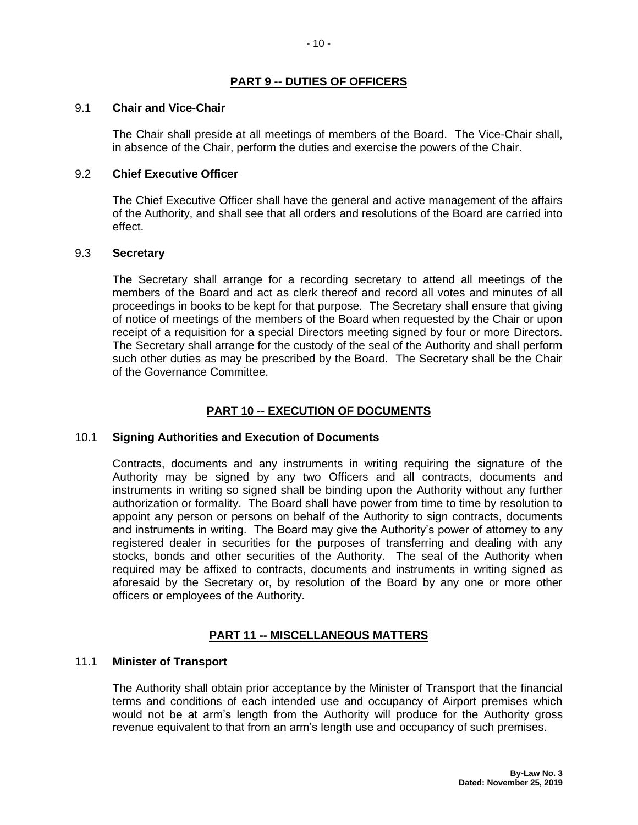## **PART 9 -- DUTIES OF OFFICERS**

#### <span id="page-20-1"></span><span id="page-20-0"></span>9.1 **Chair and Vice-Chair**

The Chair shall preside at all meetings of members of the Board. The Vice-Chair shall, in absence of the Chair, perform the duties and exercise the powers of the Chair.

#### <span id="page-20-2"></span>9.2 **Chief Executive Officer**

The Chief Executive Officer shall have the general and active management of the affairs of the Authority, and shall see that all orders and resolutions of the Board are carried into effect.

#### <span id="page-20-3"></span>9.3 **Secretary**

The Secretary shall arrange for a recording secretary to attend all meetings of the members of the Board and act as clerk thereof and record all votes and minutes of all proceedings in books to be kept for that purpose. The Secretary shall ensure that giving of notice of meetings of the members of the Board when requested by the Chair or upon receipt of a requisition for a special Directors meeting signed by four or more Directors. The Secretary shall arrange for the custody of the seal of the Authority and shall perform such other duties as may be prescribed by the Board. The Secretary shall be the Chair of the Governance Committee.

## **PART 10 -- EXECUTION OF DOCUMENTS**

## <span id="page-20-5"></span><span id="page-20-4"></span>10.1 **Signing Authorities and Execution of Documents**

Contracts, documents and any instruments in writing requiring the signature of the Authority may be signed by any two Officers and all contracts, documents and instruments in writing so signed shall be binding upon the Authority without any further authorization or formality. The Board shall have power from time to time by resolution to appoint any person or persons on behalf of the Authority to sign contracts, documents and instruments in writing. The Board may give the Authority's power of attorney to any registered dealer in securities for the purposes of transferring and dealing with any stocks, bonds and other securities of the Authority. The seal of the Authority when required may be affixed to contracts, documents and instruments in writing signed as aforesaid by the Secretary or, by resolution of the Board by any one or more other officers or employees of the Authority.

## **PART 11 -- MISCELLANEOUS MATTERS**

#### <span id="page-20-7"></span><span id="page-20-6"></span>11.1 **Minister of Transport**

The Authority shall obtain prior acceptance by the Minister of Transport that the financial terms and conditions of each intended use and occupancy of Airport premises which would not be at arm's length from the Authority will produce for the Authority gross revenue equivalent to that from an arm's length use and occupancy of such premises.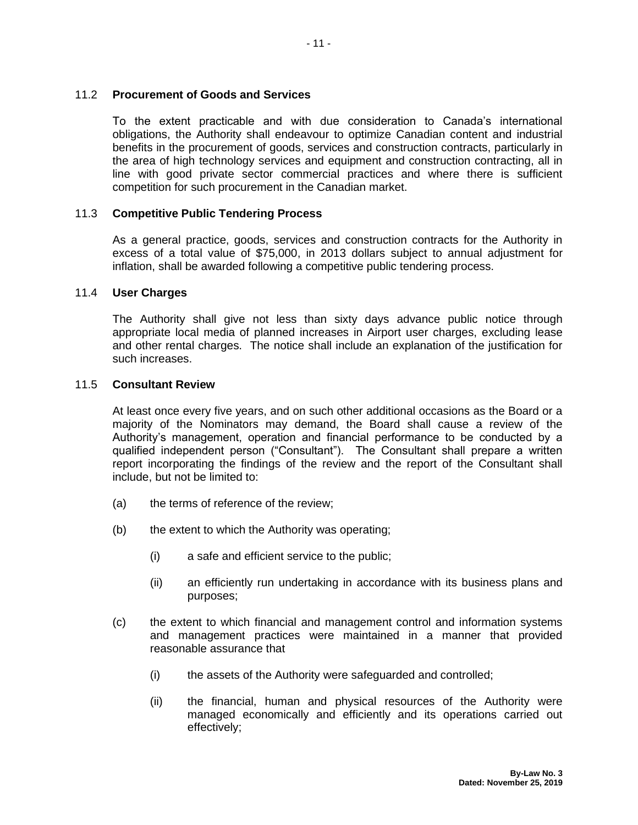#### <span id="page-21-0"></span>11.2 **Procurement of Goods and Services**

To the extent practicable and with due consideration to Canada's international obligations, the Authority shall endeavour to optimize Canadian content and industrial benefits in the procurement of goods, services and construction contracts, particularly in the area of high technology services and equipment and construction contracting, all in line with good private sector commercial practices and where there is sufficient competition for such procurement in the Canadian market.

#### <span id="page-21-1"></span>11.3 **Competitive Public Tendering Process**

As a general practice, goods, services and construction contracts for the Authority in excess of a total value of \$75,000, in 2013 dollars subject to annual adjustment for inflation, shall be awarded following a competitive public tendering process.

## <span id="page-21-2"></span>11.4 **User Charges**

The Authority shall give not less than sixty days advance public notice through appropriate local media of planned increases in Airport user charges, excluding lease and other rental charges. The notice shall include an explanation of the justification for such increases.

#### <span id="page-21-3"></span>11.5 **Consultant Review**

At least once every five years, and on such other additional occasions as the Board or a majority of the Nominators may demand, the Board shall cause a review of the Authority's management, operation and financial performance to be conducted by a qualified independent person ("Consultant"). The Consultant shall prepare a written report incorporating the findings of the review and the report of the Consultant shall include, but not be limited to:

- (a) the terms of reference of the review;
- (b) the extent to which the Authority was operating;
	- (i) a safe and efficient service to the public;
	- (ii) an efficiently run undertaking in accordance with its business plans and purposes;
- (c) the extent to which financial and management control and information systems and management practices were maintained in a manner that provided reasonable assurance that
	- (i) the assets of the Authority were safeguarded and controlled;
	- (ii) the financial, human and physical resources of the Authority were managed economically and efficiently and its operations carried out effectively;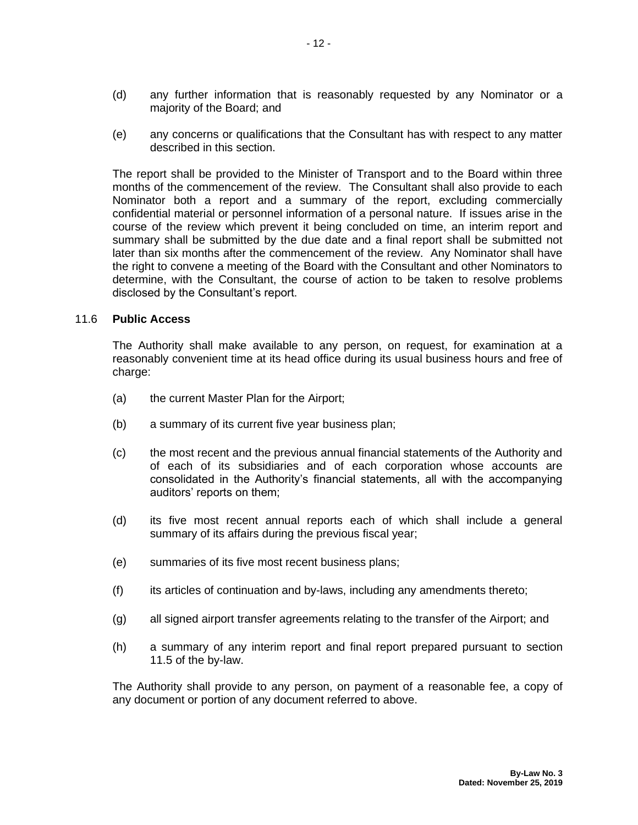- (d) any further information that is reasonably requested by any Nominator or a majority of the Board; and
- (e) any concerns or qualifications that the Consultant has with respect to any matter described in this section.

The report shall be provided to the Minister of Transport and to the Board within three months of the commencement of the review. The Consultant shall also provide to each Nominator both a report and a summary of the report, excluding commercially confidential material or personnel information of a personal nature. If issues arise in the course of the review which prevent it being concluded on time, an interim report and summary shall be submitted by the due date and a final report shall be submitted not later than six months after the commencement of the review. Any Nominator shall have the right to convene a meeting of the Board with the Consultant and other Nominators to determine, with the Consultant, the course of action to be taken to resolve problems disclosed by the Consultant's report.

#### <span id="page-22-0"></span>11.6 **Public Access**

The Authority shall make available to any person, on request, for examination at a reasonably convenient time at its head office during its usual business hours and free of charge:

- (a) the current Master Plan for the Airport;
- (b) a summary of its current five year business plan;
- (c) the most recent and the previous annual financial statements of the Authority and of each of its subsidiaries and of each corporation whose accounts are consolidated in the Authority's financial statements, all with the accompanying auditors' reports on them;
- (d) its five most recent annual reports each of which shall include a general summary of its affairs during the previous fiscal year;
- (e) summaries of its five most recent business plans;
- $(f)$  its articles of continuation and by-laws, including any amendments thereto;
- (g) all signed airport transfer agreements relating to the transfer of the Airport; and
- (h) a summary of any interim report and final report prepared pursuant to section 11.5 of the by-law.

The Authority shall provide to any person, on payment of a reasonable fee, a copy of any document or portion of any document referred to above.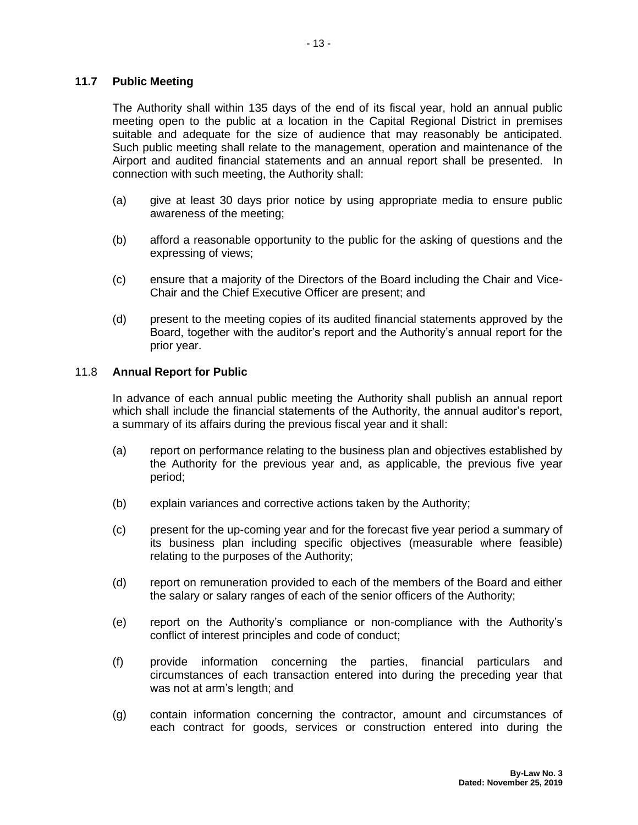## <span id="page-23-0"></span>**11.7 Public Meeting**

The Authority shall within 135 days of the end of its fiscal year, hold an annual public meeting open to the public at a location in the Capital Regional District in premises suitable and adequate for the size of audience that may reasonably be anticipated. Such public meeting shall relate to the management, operation and maintenance of the Airport and audited financial statements and an annual report shall be presented. In connection with such meeting, the Authority shall:

- (a) give at least 30 days prior notice by using appropriate media to ensure public awareness of the meeting;
- (b) afford a reasonable opportunity to the public for the asking of questions and the expressing of views;
- (c) ensure that a majority of the Directors of the Board including the Chair and Vice-Chair and the Chief Executive Officer are present; and
- (d) present to the meeting copies of its audited financial statements approved by the Board, together with the auditor's report and the Authority's annual report for the prior year.

#### <span id="page-23-1"></span>11.8 **Annual Report for Public**

In advance of each annual public meeting the Authority shall publish an annual report which shall include the financial statements of the Authority, the annual auditor's report, a summary of its affairs during the previous fiscal year and it shall:

- (a) report on performance relating to the business plan and objectives established by the Authority for the previous year and, as applicable, the previous five year period;
- (b) explain variances and corrective actions taken by the Authority;
- (c) present for the up-coming year and for the forecast five year period a summary of its business plan including specific objectives (measurable where feasible) relating to the purposes of the Authority;
- (d) report on remuneration provided to each of the members of the Board and either the salary or salary ranges of each of the senior officers of the Authority;
- (e) report on the Authority's compliance or non-compliance with the Authority's conflict of interest principles and code of conduct;
- (f) provide information concerning the parties, financial particulars and circumstances of each transaction entered into during the preceding year that was not at arm's length; and
- (g) contain information concerning the contractor, amount and circumstances of each contract for goods, services or construction entered into during the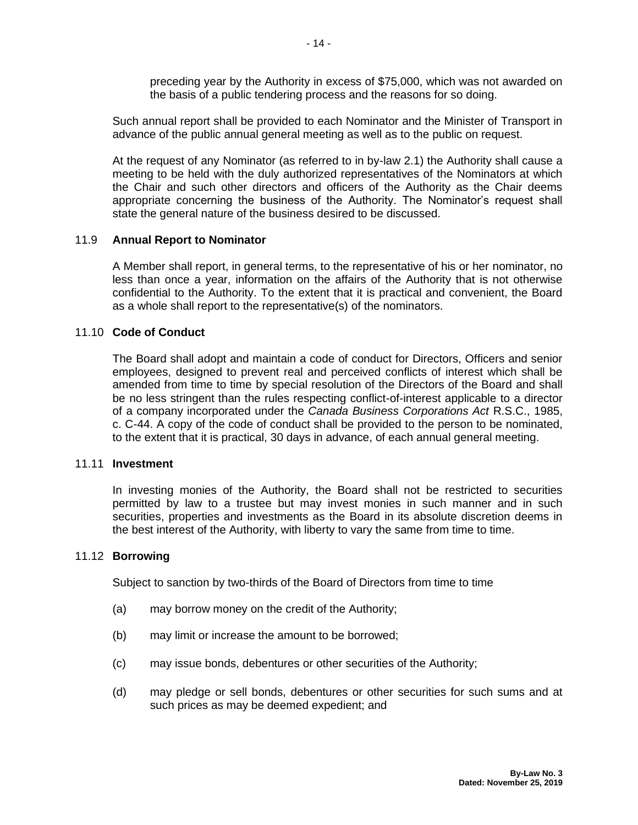preceding year by the Authority in excess of \$75,000, which was not awarded on the basis of a public tendering process and the reasons for so doing.

Such annual report shall be provided to each Nominator and the Minister of Transport in advance of the public annual general meeting as well as to the public on request.

At the request of any Nominator (as referred to in by-law 2.1) the Authority shall cause a meeting to be held with the duly authorized representatives of the Nominators at which the Chair and such other directors and officers of the Authority as the Chair deems appropriate concerning the business of the Authority. The Nominator's request shall state the general nature of the business desired to be discussed.

#### <span id="page-24-0"></span>11.9 **Annual Report to Nominator**

A Member shall report, in general terms, to the representative of his or her nominator, no less than once a year, information on the affairs of the Authority that is not otherwise confidential to the Authority. To the extent that it is practical and convenient, the Board as a whole shall report to the representative(s) of the nominators.

#### <span id="page-24-1"></span>11.10 **Code of Conduct**

The Board shall adopt and maintain a code of conduct for Directors, Officers and senior employees, designed to prevent real and perceived conflicts of interest which shall be amended from time to time by special resolution of the Directors of the Board and shall be no less stringent than the rules respecting conflict-of-interest applicable to a director of a company incorporated under the *Canada Business Corporations Act* R.S.C., 1985, c. C-44. A copy of the code of conduct shall be provided to the person to be nominated, to the extent that it is practical, 30 days in advance, of each annual general meeting.

#### <span id="page-24-2"></span>11.11 **Investment**

In investing monies of the Authority, the Board shall not be restricted to securities permitted by law to a trustee but may invest monies in such manner and in such securities, properties and investments as the Board in its absolute discretion deems in the best interest of the Authority, with liberty to vary the same from time to time.

#### <span id="page-24-3"></span>11.12 **Borrowing**

Subject to sanction by two-thirds of the Board of Directors from time to time

- (a) may borrow money on the credit of the Authority;
- (b) may limit or increase the amount to be borrowed;
- (c) may issue bonds, debentures or other securities of the Authority;
- (d) may pledge or sell bonds, debentures or other securities for such sums and at such prices as may be deemed expedient; and